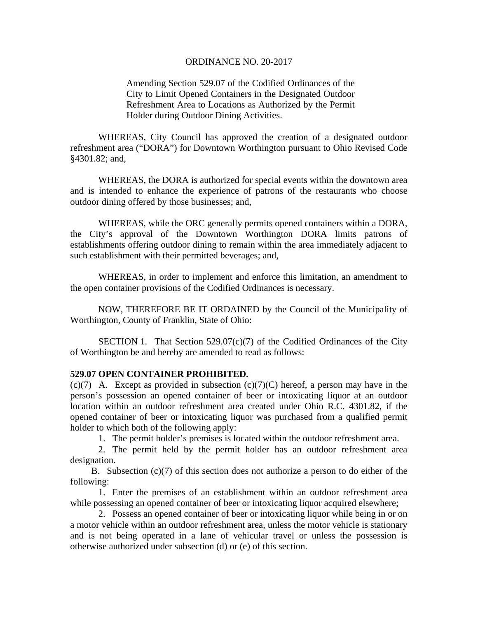## ORDINANCE NO. 20-2017

Amending Section 529.07 of the Codified Ordinances of the City to Limit Opened Containers in the Designated Outdoor Refreshment Area to Locations as Authorized by the Permit Holder during Outdoor Dining Activities.

WHEREAS, City Council has approved the creation of a designated outdoor refreshment area ("DORA") for Downtown Worthington pursuant to Ohio Revised Code §4301.82; and,

WHEREAS, the DORA is authorized for special events within the downtown area and is intended to enhance the experience of patrons of the restaurants who choose outdoor dining offered by those businesses; and,

WHEREAS, while the ORC generally permits opened containers within a DORA, the City's approval of the Downtown Worthington DORA limits patrons of establishments offering outdoor dining to remain within the area immediately adjacent to such establishment with their permitted beverages; and,

WHEREAS, in order to implement and enforce this limitation, an amendment to the open container provisions of the Codified Ordinances is necessary.

 NOW, THEREFORE BE IT ORDAINED by the Council of the Municipality of Worthington, County of Franklin, State of Ohio:

SECTION 1. That Section  $529.07(c)(7)$  of the Codified Ordinances of the City of Worthington be and hereby are amended to read as follows:

## **529.07 OPEN CONTAINER PROHIBITED.**

 $(c)(7)$  A. Except as provided in subsection  $(c)(7)(C)$  hereof, a person may have in the person's possession an opened container of beer or intoxicating liquor at an outdoor location within an outdoor refreshment area created under Ohio R.C. 4301.82, if the opened container of beer or intoxicating liquor was purchased from a qualified permit holder to which both of the following apply:

1. The permit holder's premises is located within the outdoor refreshment area.

 2. The permit held by the permit holder has an outdoor refreshment area designation.

 B. Subsection (c)(7) of this section does not authorize a person to do either of the following:

 1. Enter the premises of an establishment within an outdoor refreshment area while possessing an opened container of beer or intoxicating liquor acquired elsewhere;

 2. Possess an opened container of beer or intoxicating liquor while being in or on a motor vehicle within an outdoor refreshment area, unless the motor vehicle is stationary and is not being operated in a lane of vehicular travel or unless the possession is otherwise authorized under subsection (d) or (e) of this section.